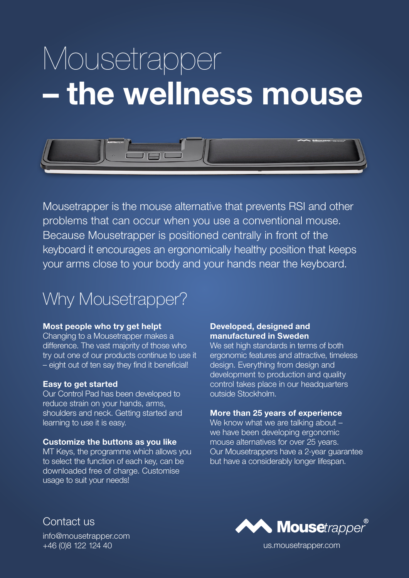# Mousetrapper – the wellness mouse



Mousetrapper is the mouse alternative that prevents RSI and other problems that can occur when you use a conventional mouse. Because Mousetrapper is positioned centrally in front of the keyboard it encourages an ergonomically healthy position that keeps your arms close to your body and your hands near the keyboard.

### Why Mousetrapper?

#### Most people who try get helpt

Changing to a Mousetrapper makes a difference. The vast majority of those who try out one of our products continue to use it – eight out of ten say they find it beneficial!

#### Easy to get started

Our Control Pad has been developed to reduce strain on your hands, arms, shoulders and neck. Getting started and learning to use it is easy.

#### Customize the buttons as you like

MT Keys, the programme which allows you to select the function of each key, can be downloaded free of charge. Customise usage to suit your needs!

#### Developed, designed and manufactured in Sweden

We set high standards in terms of both ergonomic features and attractive, timeless design. Everything from design and development to production and quality control takes place in our headquarters outside Stockholm.

#### More than 25 years of experience

We know what we are talking about we have been developing ergonomic mouse alternatives for over 25 years. Our Mousetrappers have a 2-year guarantee but have a considerably longer lifespan.

Contact us info@mousetrapper.com



+46 (0)8 122 124 40 us.mousetrapper.com